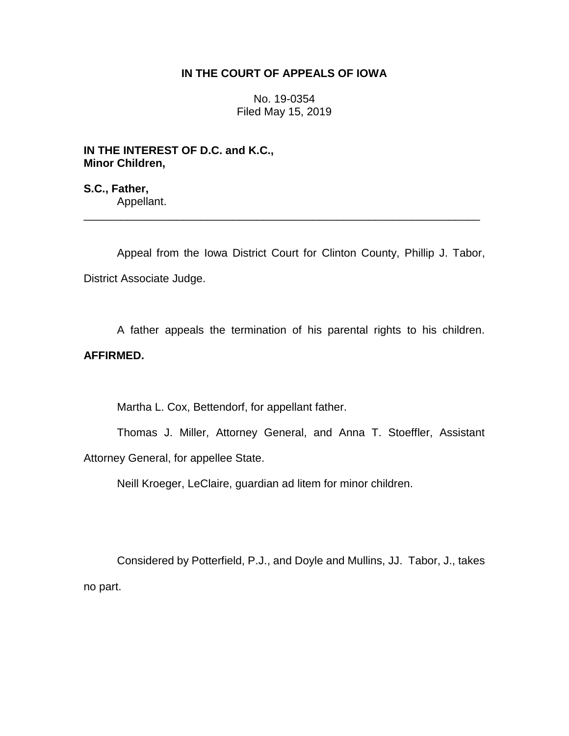## **IN THE COURT OF APPEALS OF IOWA**

No. 19-0354 Filed May 15, 2019

**IN THE INTEREST OF D.C. and K.C., Minor Children,**

**S.C., Father,** Appellant.

Appeal from the Iowa District Court for Clinton County, Phillip J. Tabor, District Associate Judge.

\_\_\_\_\_\_\_\_\_\_\_\_\_\_\_\_\_\_\_\_\_\_\_\_\_\_\_\_\_\_\_\_\_\_\_\_\_\_\_\_\_\_\_\_\_\_\_\_\_\_\_\_\_\_\_\_\_\_\_\_\_\_\_\_

A father appeals the termination of his parental rights to his children.

## **AFFIRMED.**

Martha L. Cox, Bettendorf, for appellant father.

Thomas J. Miller, Attorney General, and Anna T. Stoeffler, Assistant Attorney General, for appellee State.

Neill Kroeger, LeClaire, guardian ad litem for minor children.

Considered by Potterfield, P.J., and Doyle and Mullins, JJ. Tabor, J., takes no part.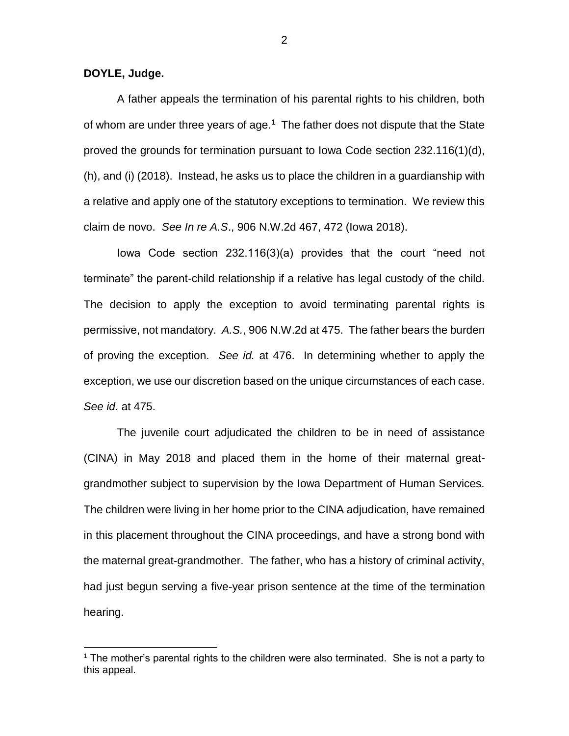**DOYLE, Judge.**

 $\overline{a}$ 

A father appeals the termination of his parental rights to his children, both of whom are under three years of age. $1$  The father does not dispute that the State proved the grounds for termination pursuant to Iowa Code section 232.116(1)(d), (h), and (i) (2018). Instead, he asks us to place the children in a guardianship with a relative and apply one of the statutory exceptions to termination. We review this claim de novo. *See In re A.S*., 906 N.W.2d 467, 472 (Iowa 2018).

Iowa Code section 232.116(3)(a) provides that the court "need not terminate" the parent-child relationship if a relative has legal custody of the child. The decision to apply the exception to avoid terminating parental rights is permissive, not mandatory. *A.S.*, 906 N.W.2d at 475. The father bears the burden of proving the exception. *See id.* at 476. In determining whether to apply the exception, we use our discretion based on the unique circumstances of each case. *See id.* at 475.

The juvenile court adjudicated the children to be in need of assistance (CINA) in May 2018 and placed them in the home of their maternal greatgrandmother subject to supervision by the Iowa Department of Human Services. The children were living in her home prior to the CINA adjudication, have remained in this placement throughout the CINA proceedings, and have a strong bond with the maternal great-grandmother. The father, who has a history of criminal activity, had just begun serving a five-year prison sentence at the time of the termination hearing.

<sup>&</sup>lt;sup>1</sup> The mother's parental rights to the children were also terminated. She is not a party to this appeal.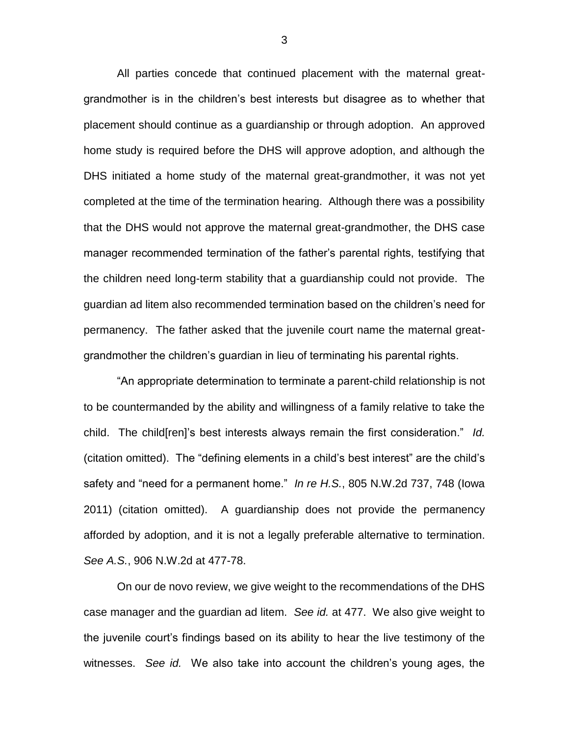All parties concede that continued placement with the maternal greatgrandmother is in the children's best interests but disagree as to whether that placement should continue as a guardianship or through adoption. An approved home study is required before the DHS will approve adoption, and although the DHS initiated a home study of the maternal great-grandmother, it was not yet completed at the time of the termination hearing. Although there was a possibility that the DHS would not approve the maternal great-grandmother, the DHS case manager recommended termination of the father's parental rights, testifying that the children need long-term stability that a guardianship could not provide. The guardian ad litem also recommended termination based on the children's need for permanency. The father asked that the juvenile court name the maternal greatgrandmother the children's guardian in lieu of terminating his parental rights.

"An appropriate determination to terminate a parent-child relationship is not to be countermanded by the ability and willingness of a family relative to take the child. The child[ren]'s best interests always remain the first consideration." *Id.* (citation omitted). The "defining elements in a child's best interest" are the child's safety and "need for a permanent home." *In re H.S.*, 805 N.W.2d 737, 748 (Iowa 2011) (citation omitted). A guardianship does not provide the permanency afforded by adoption, and it is not a legally preferable alternative to termination. *See A.S.*, 906 N.W.2d at 477-78.

On our de novo review, we give weight to the recommendations of the DHS case manager and the guardian ad litem. *See id.* at 477. We also give weight to the juvenile court's findings based on its ability to hear the live testimony of the witnesses. *See id.* We also take into account the children's young ages, the

3